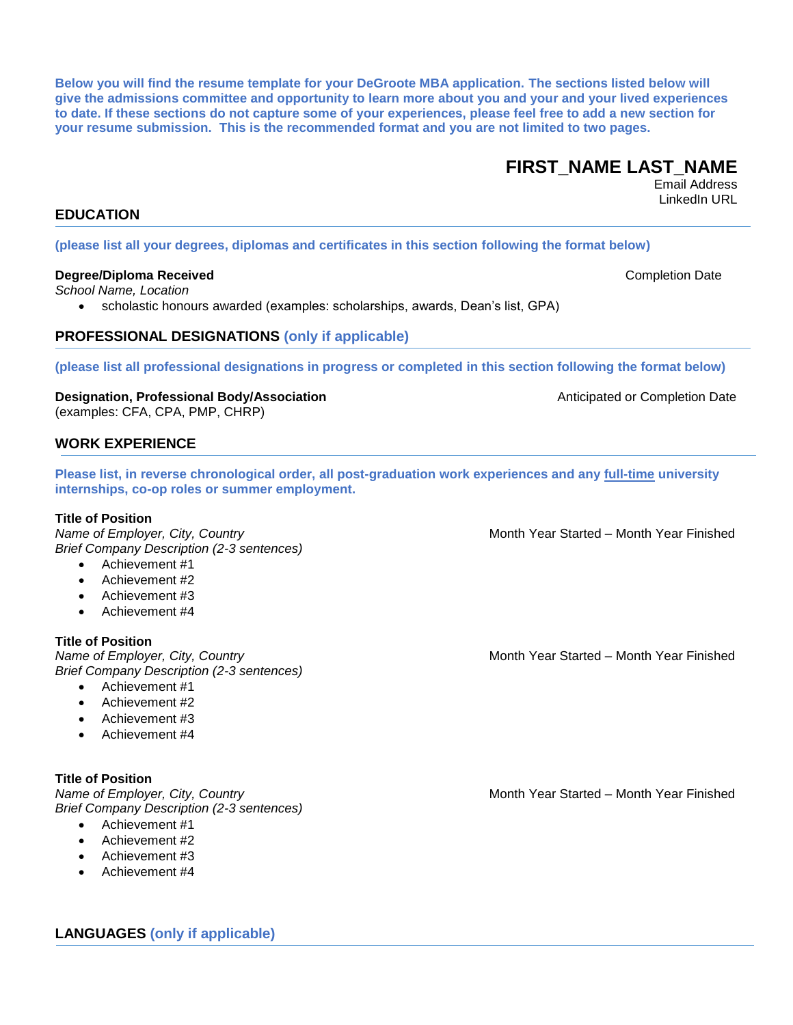**LANGUAGES (only if applicable)**

**Below you will find the resume template for your DeGroote MBA application. The sections listed below will give the admissions committee and opportunity to learn more about you and your and your lived experiences to date. If these sections do not capture some of your experiences, please feel free to add a new section for your resume submission. This is the recommended format and you are not limited to two pages.**

# **FIRST\_NAME LAST\_NAME**

Email Address LinkedIn URL

# **EDUCATION**

#### **(please list all your degrees, diplomas and certificates in this section following the format below)**

#### **Degree/Diploma Received <b>Completion** Date **Completion** Date **Completion** Date

*School Name, Location*

scholastic honours awarded (examples: scholarships, awards, Dean's list, GPA)

## **PROFESSIONAL DESIGNATIONS (only if applicable)**

**(please list all professional designations in progress or completed in this section following the format below)**

**Designation, Professional Body/Association Anticipated or Completion Date** (examples: CFA, CPA, PMP, CHRP)

# **WORK EXPERIENCE**

**Please list, in reverse chronological order, all post-graduation work experiences and any full-time university internships, co-op roles or summer employment.**

**Title of Position**<br>Name of Employer, City, Country *Brief Company Description (2-3 sentences)*

- Achievement #1
- Achievement #2
- Achievement #4

### **Title of Position**

*Name of Employer, City, Country* **Month Year Started – Month Year Finished** Month Year Started – Month Year Finished *Brief Company Description (2-3 sentences)*

- 
- Achievement #2
- 
- Achievement #4

*Name of Employer, City, Country* **Month Year Started – Month Year Finished** Month Year Started – Month Year Finished

*Name of Employer, City, Country* Month Year Started – Month Year Finished

- Achievement #1
- 
- 
- 

#### **Title of Position**

*Brief Company Description (2-3 sentences)*

- Achievement #1
- Achievement #2
- Achievement #3
- Achievement #4

Achievement #3

- 
- 
- 

- 
- Achievement #3
-